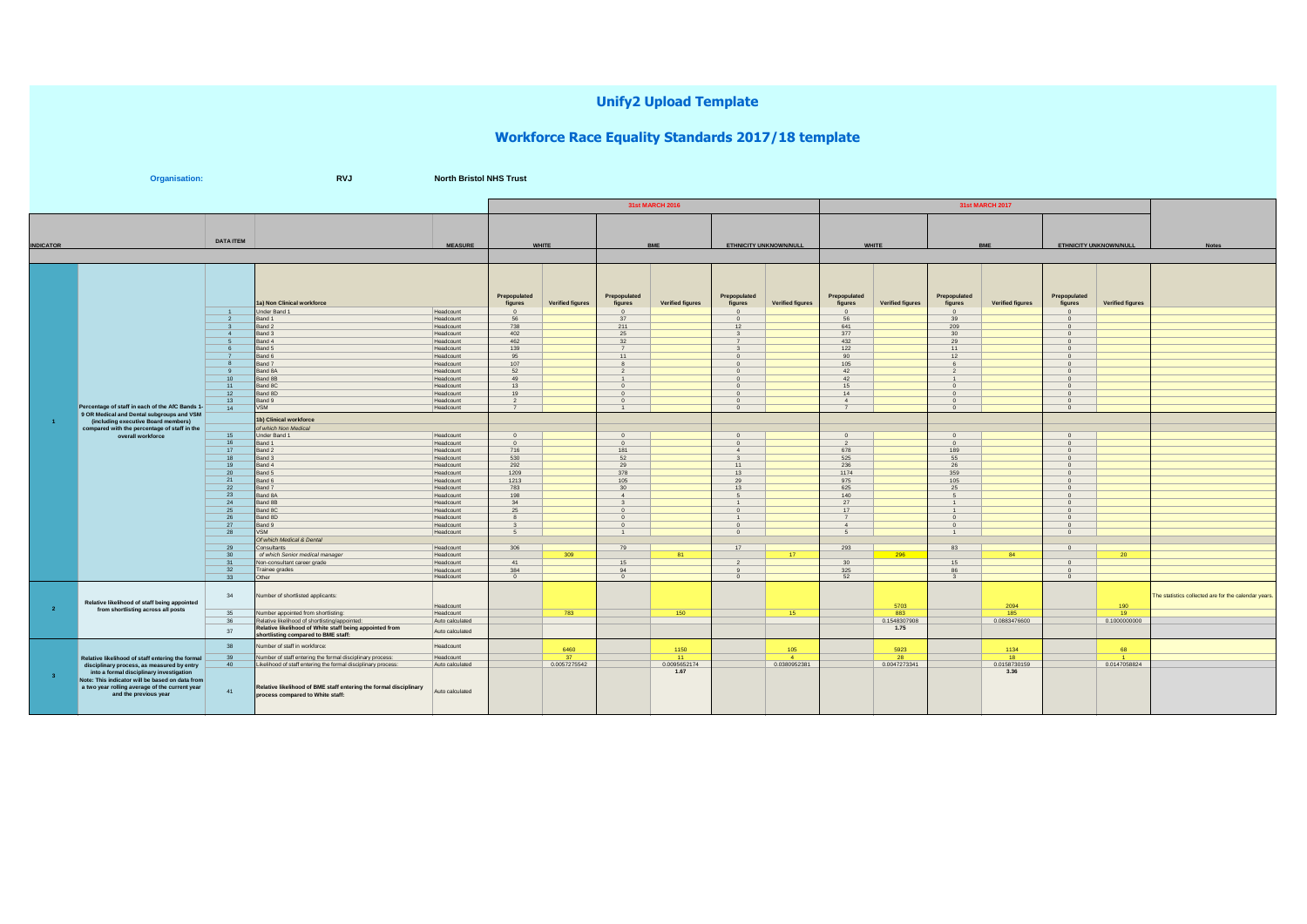## **Unify2 Upload Template**

## **Workforce Race Equality Standards 2017/18 template**

| <b>RVJ</b><br><b>North Bristol NHS Trust</b><br>Organisation: |                                                                                                                            |                       |                                                                                                       |                              |                                     |                         |                                     |                      |                                     |                         |                                     |                     |                                     |                         |                                     |                    |                                                      |
|---------------------------------------------------------------|----------------------------------------------------------------------------------------------------------------------------|-----------------------|-------------------------------------------------------------------------------------------------------|------------------------------|-------------------------------------|-------------------------|-------------------------------------|----------------------|-------------------------------------|-------------------------|-------------------------------------|---------------------|-------------------------------------|-------------------------|-------------------------------------|--------------------|------------------------------------------------------|
|                                                               |                                                                                                                            |                       |                                                                                                       |                              |                                     |                         |                                     | 31st MARCH 2016      |                                     |                         |                                     |                     |                                     |                         |                                     |                    |                                                      |
|                                                               |                                                                                                                            | <b>DATA ITEM</b>      |                                                                                                       |                              |                                     |                         |                                     |                      |                                     |                         |                                     |                     |                                     |                         |                                     |                    |                                                      |
| <b>INDICATOR</b>                                              |                                                                                                                            |                       | <b>MEASURE</b>                                                                                        |                              | WHITE                               |                         | <b>BME</b>                          |                      | ETHNICITY UNKNOWN/NULL              |                         | <b>WHITE</b>                        |                     | <b>BME</b>                          |                         | ETHNICITY UNKNOWN/NULL              |                    | <b>Notes</b>                                         |
|                                                               |                                                                                                                            | $\overline{1}$        | 1a) Non Clinical workforce<br>Under Band 1                                                            | Headcount                    | Prepopulated<br>figures<br>$\Omega$ | <b>Verified figures</b> | Prepopulated<br>figures<br>$\Omega$ | Verified figures     | Prepopulated<br>figures<br>$\Omega$ | <b>Verified figures</b> | Prepopulated<br>figures<br>$\Omega$ | Verified figures    | Prepopulated<br>figures<br>$\Omega$ | <b>Verified figures</b> | Prepopulated<br>figures<br>$\Omega$ | Verified figures   |                                                      |
|                                                               |                                                                                                                            | $\overline{2}$        | Band 1                                                                                                | Headcount                    | 56                                  |                         | 37                                  |                      | $\bf{0}$                            |                         | 56                                  |                     | 39                                  |                         | $\Omega$                            |                    |                                                      |
|                                                               |                                                                                                                            |                       | Band 2                                                                                                | Headcount                    | 738                                 |                         | 211                                 |                      | 12                                  |                         | 641                                 |                     | 209                                 |                         | $\Omega$                            |                    |                                                      |
|                                                               |                                                                                                                            | $\overline{A}$        | Band 3<br>Band 4                                                                                      | Headcount<br>Headcount       | 402<br>462                          |                         | 25<br>32                            |                      | -3                                  |                         | 377<br>432                          |                     | 30<br>29                            |                         | $\Omega$<br>$\Omega$                |                    |                                                      |
|                                                               |                                                                                                                            |                       | Band 5                                                                                                | Headcount                    | 139                                 |                         | $\overline{7}$                      |                      |                                     |                         | 122                                 |                     | 11                                  |                         | n                                   |                    |                                                      |
|                                                               |                                                                                                                            |                       | Band 6                                                                                                | Headcount                    | 95                                  |                         | 11                                  |                      | $\mathbf{0}$                        |                         | 90                                  |                     | 12                                  |                         |                                     |                    |                                                      |
|                                                               |                                                                                                                            |                       | Band 7<br>Band 8A                                                                                     | Headcount<br>Headcount       | 107<br>52                           |                         | 8<br>$\overline{2}$                 |                      | $^{\circ}$<br>$\mathbf{0}$          |                         | 105<br>42                           |                     |                                     |                         | $\Omega$<br>$\mathbf{0}$            |                    |                                                      |
|                                                               |                                                                                                                            | 10 <sup>10</sup>      | Band 8B                                                                                               | Headcount                    | 49                                  |                         |                                     |                      | $\Omega$                            |                         | 42                                  |                     |                                     |                         | $\Omega$                            |                    |                                                      |
|                                                               |                                                                                                                            | 11<br>12              | Band 8C<br>Band 8D                                                                                    | Headcount<br>Headcount       | 13<br>19                            |                         | $\circ$<br>$\Omega$                 |                      | $\overline{0}$<br>$\Omega$          |                         | 15<br>14                            |                     | $\circ$<br>$\Omega$                 |                         | $\overline{0}$<br>$\Omega$          |                    |                                                      |
|                                                               |                                                                                                                            | 13                    | Band 9                                                                                                | Headcount                    |                                     |                         |                                     |                      |                                     |                         |                                     |                     |                                     |                         |                                     |                    |                                                      |
|                                                               | Percentage of staff in each of the AfC Bands 1-<br>9 OR Medical and Dental subgroups and VSM                               | 14                    | <b>VSM</b>                                                                                            | Headcount                    |                                     |                         | $\mathbf{A}$                        |                      | n                                   |                         |                                     |                     | $\Omega$                            |                         | $\Omega$                            |                    |                                                      |
| $\overline{1}$                                                | (including executive Board members)                                                                                        |                       | 1b) Clinical workforce                                                                                |                              |                                     |                         |                                     |                      |                                     |                         |                                     |                     |                                     |                         |                                     |                    |                                                      |
|                                                               | compared with the percentage of staff in the                                                                               | 15                    | of which Non Medical                                                                                  |                              |                                     |                         |                                     |                      |                                     |                         |                                     |                     |                                     |                         |                                     |                    |                                                      |
|                                                               | overall workforce                                                                                                          | 16                    | Under Band 1<br>Band 1                                                                                | Headcount<br>Headcount       | $\Omega$<br>$\Omega$                |                         | $\Omega$<br>$\Omega$                |                      | $\Omega$                            |                         | $\mathcal{L}$                       |                     | $\Omega$                            |                         | $\Omega$                            |                    |                                                      |
|                                                               |                                                                                                                            | 17                    | Band 2                                                                                                | Headcount                    | 716                                 |                         | 181                                 |                      |                                     |                         | 678                                 |                     | 189                                 |                         | $\Omega$                            |                    |                                                      |
|                                                               |                                                                                                                            | 18<br>19              | Band 3                                                                                                | Headcount                    | 530<br>292                          |                         | 52<br>29                            |                      | 11                                  |                         | 525<br>236                          |                     | 55                                  |                         | $\Omega$<br>$\Omega$                |                    |                                                      |
|                                                               |                                                                                                                            | 20                    | Band 4<br>Band 5                                                                                      | Headcount<br>Headcount       | 1209                                |                         | 378                                 |                      | 13                                  |                         | 1174                                |                     | 26<br>359                           |                         |                                     |                    |                                                      |
|                                                               |                                                                                                                            | 21                    | Band 6                                                                                                | Headcount                    | 1213                                |                         | 105                                 |                      | 29                                  |                         | 975                                 |                     | 105                                 |                         | $\Omega$                            |                    |                                                      |
|                                                               |                                                                                                                            | 22<br>23              | Band 7<br>Band 8A                                                                                     | Headcount<br>Headcount       | 783<br>198                          |                         | 30<br>$\overline{4}$                |                      | 13                                  |                         | 625<br>140                          |                     | $25\,$                              |                         | $\Omega$<br>$\Omega$                |                    |                                                      |
|                                                               |                                                                                                                            | 24                    | Band 8B                                                                                               | Headcount                    | 34                                  |                         | 3                                   |                      |                                     |                         | 27                                  |                     |                                     |                         | $\Omega$                            |                    |                                                      |
|                                                               |                                                                                                                            | 25                    | Band 8C                                                                                               | Headcount                    | 25                                  |                         | $\mathbf{0}$                        |                      | $\mathbf{0}$                        |                         | 17                                  |                     |                                     |                         | $\Omega$                            |                    |                                                      |
|                                                               |                                                                                                                            | 26<br>27              | Band 8D<br>Band 9                                                                                     | Headcount<br>Headcount       | $\mathbf{8}$<br>$\mathbf{3}$        |                         | $\mathbf{0}$<br>$\Omega$            |                      | $\mathbf{1}$<br>$\Omega$            |                         | $\overline{7}$<br>$\mathbf{4}$      |                     | $\Omega$<br>$\Omega$                |                         | $\Omega$<br>$\Omega$                |                    |                                                      |
|                                                               |                                                                                                                            | 28                    | <b>VSM</b>                                                                                            | Headcount                    |                                     |                         | $\mathbf{1}$                        |                      | $\Omega$                            |                         | $\sqrt{2}$                          |                     | $\blacktriangleleft$                |                         | $\Omega$                            |                    |                                                      |
|                                                               |                                                                                                                            |                       | Of which Medical & Dental                                                                             |                              |                                     |                         |                                     |                      |                                     |                         |                                     |                     |                                     |                         | $\circ$                             |                    |                                                      |
|                                                               |                                                                                                                            | 29<br>30 <sub>2</sub> | Consultants<br>of which Senior medical manager                                                        | Headcount<br>Headcount       | 306                                 | 309                     | 79                                  | 81                   | 17                                  | 17                      | 293                                 | 296                 | 83                                  | 84                      |                                     | 20                 |                                                      |
|                                                               |                                                                                                                            | 31                    | Non-consultant career grade                                                                           | Headcount                    | 41                                  |                         | 15                                  |                      |                                     |                         | 30 <sup>2</sup>                     |                     | 15                                  |                         | $\Omega$                            |                    |                                                      |
|                                                               |                                                                                                                            | 32<br>33              | Trainee grades<br>Other                                                                               | Headcount<br>Headcount       | 384<br>$\Omega$                     |                         | 94<br>$\Omega$                      |                      | $\mathbf{q}$<br>$\Omega$            |                         | 325<br>52                           |                     | 86<br>$\mathbf{3}$                  |                         | $\Omega$<br>$\Omega$                |                    |                                                      |
| $\overline{2}$                                                | Relative likelihood of staff being appointed<br>from shortlisting across all posts                                         | 34                    | Number of shortlisted applicants:                                                                     | Headcount                    |                                     |                         |                                     |                      |                                     |                         |                                     | 5703                |                                     | 2094                    |                                     | 190                | The statistics collected are for the calendar years. |
|                                                               |                                                                                                                            | 35<br>36              | Number appointed from shortlisting:<br>Relative likelihood of shortlisting/appointed:                 | Headcount<br>Auto calculated |                                     | 783                     |                                     | 150                  |                                     | 15                      |                                     | 883<br>0.1548307908 |                                     | 185<br>0.0883476600     |                                     | 19<br>0.1000000000 |                                                      |
|                                                               |                                                                                                                            | 37                    | Relative likelihood of White staff being appointed from<br>shortlisting compared to BME staff:        | Auto calculated              |                                     |                         |                                     |                      |                                     |                         |                                     | 1.75                |                                     |                         |                                     |                    |                                                      |
| 3 <sup>2</sup>                                                | Relative likelihood of staff entering the formal                                                                           | 38                    | Number of staff in workforce:                                                                         | Headcount                    |                                     | 6460                    |                                     | 1150                 |                                     | 105                     |                                     | 5923                |                                     | 1134                    |                                     | 68                 |                                                      |
|                                                               |                                                                                                                            | 39                    | Number of staff entering the formal disciplinary process:                                             | Headcount                    |                                     | -37                     |                                     | 11                   |                                     |                         |                                     | 28                  |                                     | 18                      |                                     |                    |                                                      |
|                                                               | disciplinary process, as measured by entry<br>into a formal disciplinary investigation                                     | 40                    | Likelihood of staff entering the formal disciplinary process:                                         | Auto calculated              |                                     | 0.0057275542            |                                     | 0.0095652174<br>1.67 |                                     | 0.0380952381            |                                     | 0.0047273341        |                                     | 0.0158730159<br>3.36    |                                     | 0.0147058824       |                                                      |
|                                                               | Note: This indicator will be based on data from<br>a two year rolling average of the current year<br>and the previous year | 41                    | Relative likelihood of BME staff entering the formal disciplinary<br>process compared to White staff: | Auto calculated              |                                     |                         |                                     |                      |                                     |                         |                                     |                     |                                     |                         |                                     |                    |                                                      |